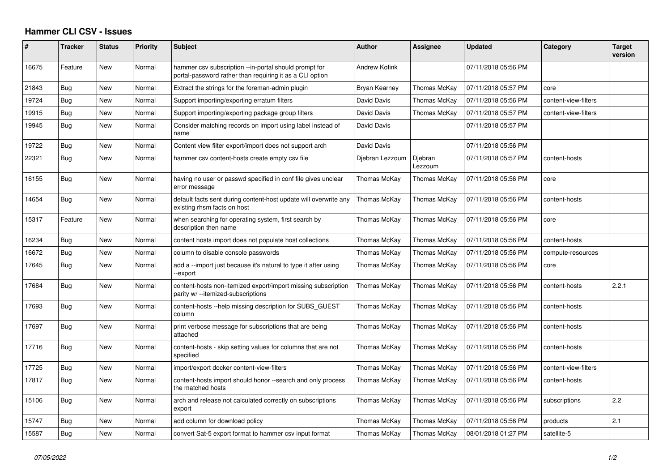## **Hammer CLI CSV - Issues**

| #     | <b>Tracker</b> | <b>Status</b> | Priority | <b>Subject</b>                                                                                                    | <b>Author</b>   | Assignee           | <b>Updated</b>      | Category             | <b>Target</b><br>version |
|-------|----------------|---------------|----------|-------------------------------------------------------------------------------------------------------------------|-----------------|--------------------|---------------------|----------------------|--------------------------|
| 16675 | Feature        | New           | Normal   | hammer csv subscription --in-portal should prompt for<br>portal-password rather than requiring it as a CLI option | Andrew Kofink   |                    | 07/11/2018 05:56 PM |                      |                          |
| 21843 | Bug            | New           | Normal   | Extract the strings for the foreman-admin plugin                                                                  | Bryan Kearney   | Thomas McKay       | 07/11/2018 05:57 PM | core                 |                          |
| 19724 | Bug            | New           | Normal   | Support importing/exporting erratum filters                                                                       | David Davis     | Thomas McKay       | 07/11/2018 05:56 PM | content-view-filters |                          |
| 19915 | <b>Bug</b>     | New           | Normal   | Support importing/exporting package group filters                                                                 | David Davis     | Thomas McKay       | 07/11/2018 05:57 PM | content-view-filters |                          |
| 19945 | Bug            | <b>New</b>    | Normal   | Consider matching records on import using label instead of<br>name                                                | David Davis     |                    | 07/11/2018 05:57 PM |                      |                          |
| 19722 | <b>Bug</b>     | New           | Normal   | Content view filter export/import does not support arch                                                           | David Davis     |                    | 07/11/2018 05:56 PM |                      |                          |
| 22321 | Bug            | New           | Normal   | hammer csv content-hosts create empty csv file                                                                    | Djebran Lezzoum | Djebran<br>Lezzoum | 07/11/2018 05:57 PM | content-hosts        |                          |
| 16155 | Bug            | New           | Normal   | having no user or passwd specified in conf file gives unclear<br>error message                                    | Thomas McKay    | Thomas McKay       | 07/11/2018 05:56 PM | core                 |                          |
| 14654 | Bug            | New           | Normal   | default facts sent during content-host update will overwrite any<br>existing rhsm facts on host                   | Thomas McKay    | Thomas McKay       | 07/11/2018 05:56 PM | content-hosts        |                          |
| 15317 | Feature        | New           | Normal   | when searching for operating system, first search by<br>description then name                                     | Thomas McKay    | Thomas McKay       | 07/11/2018 05:56 PM | core                 |                          |
| 16234 | Bug            | New           | Normal   | content hosts import does not populate host collections                                                           | Thomas McKay    | Thomas McKay       | 07/11/2018 05:56 PM | content-hosts        |                          |
| 16672 | Bug            | <b>New</b>    | Normal   | column to disable console passwords                                                                               | Thomas McKay    | Thomas McKay       | 07/11/2018 05:56 PM | compute-resources    |                          |
| 17645 | Bug            | New           | Normal   | add a --import just because it's natural to type it after using<br>-export                                        | Thomas McKay    | Thomas McKay       | 07/11/2018 05:56 PM | core                 |                          |
| 17684 | Bug            | New           | Normal   | content-hosts non-itemized export/import missing subscription<br>parity w/ --itemized-subscriptions               | Thomas McKay    | Thomas McKay       | 07/11/2018 05:56 PM | content-hosts        | 2.2.1                    |
| 17693 | Bug            | <b>New</b>    | Normal   | content-hosts --help missing description for SUBS GUEST<br>column                                                 | Thomas McKay    | Thomas McKay       | 07/11/2018 05:56 PM | content-hosts        |                          |
| 17697 | Bug            | New           | Normal   | print verbose message for subscriptions that are being<br>attached                                                | Thomas McKay    | Thomas McKay       | 07/11/2018 05:56 PM | content-hosts        |                          |
| 17716 | Bug            | New           | Normal   | content-hosts - skip setting values for columns that are not<br>specified                                         | Thomas McKay    | Thomas McKay       | 07/11/2018 05:56 PM | content-hosts        |                          |
| 17725 | Bug            | New           | Normal   | import/export docker content-view-filters                                                                         | Thomas McKay    | Thomas McKay       | 07/11/2018 05:56 PM | content-view-filters |                          |
| 17817 | Bug            | New           | Normal   | content-hosts import should honor --search and only process<br>the matched hosts                                  | Thomas McKay    | Thomas McKay       | 07/11/2018 05:56 PM | content-hosts        |                          |
| 15106 | Bug            | New           | Normal   | arch and release not calculated correctly on subscriptions<br>export                                              | Thomas McKay    | Thomas McKay       | 07/11/2018 05:56 PM | subscriptions        | 2.2                      |
| 15747 | Bug            | New           | Normal   | add column for download policy                                                                                    | Thomas McKay    | Thomas McKay       | 07/11/2018 05:56 PM | products             | 2.1                      |
| 15587 | <b>Bug</b>     | New           | Normal   | convert Sat-5 export format to hammer csy input format                                                            | Thomas McKay    | Thomas McKay       | 08/01/2018 01:27 PM | satellite-5          |                          |